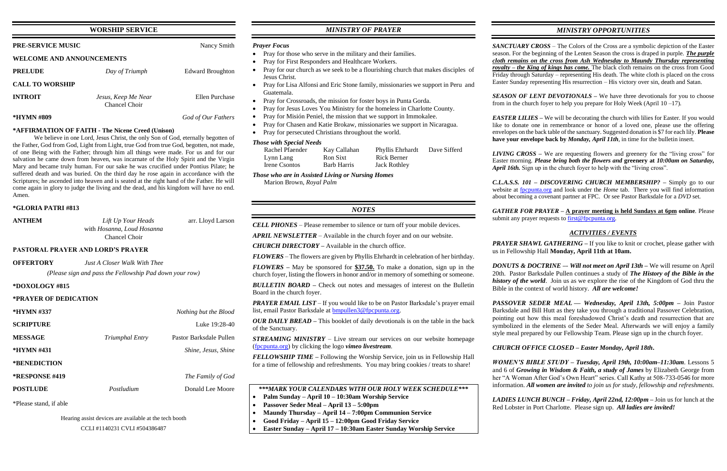# **WORSHIP SERVICE**

| <b>PRE-SERVICE MUSIC</b>  |                                      | Nancy Smith             |
|---------------------------|--------------------------------------|-------------------------|
| WELCOME AND ANNOUNCEMENTS |                                      |                         |
| <b>PRELUDE</b>            | Day of Triumph                       | <b>Edward Broughton</b> |
| <b>CALL TO WORSHIP</b>    |                                      |                         |
| <b>INTROIT</b>            | Jesus, Keep Me Near<br>Chancel Choir | Ellen Purchase          |
| *HYMN #809                |                                      | God of Our Fathers      |

#### **\*AFFIRMATION OF FAITH - The Nicene Creed (Unison)**

We believe in one Lord, Jesus Christ, the only Son of God, eternally begotten of the Father, God from God, Light from Light, true God from true God, begotten, not made, of one Being with the Father; through him all things were made. For us and for our salvation he came down from heaven, was incarnate of the Holy Spirit and the Virgin Mary and became truly human. For our sake he was crucified under Pontius Pilate; he suffered death and was buried. On the third day he rose again in accordance with the Scriptures; he ascended into heaven and is seated at the right hand of the Father. He will come again in glory to judge the living and the dead, and his kingdom will have no end. Amen.

#### **\*GLORIA PATRI #813**

| <b>ANTHEM</b>     | Lift Up Your Heads<br>with Hosanna, Loud Hosanna<br>Chancel Choir | arr. Lloyd Larson |
|-------------------|-------------------------------------------------------------------|-------------------|
|                   | <b>PASTORAL PRAYER AND LORD'S PRAYER</b>                          |                   |
| <b>OFFERTORY</b>  | Just A Closer Walk With Thee                                      |                   |
|                   | (Please sign and pass the Fellowship Pad down your row)           |                   |
| $*$ DOXOLOGY #815 |                                                                   |                   |

#### **\*PRAYER OF DEDICATION**

| *HYMN #337             |                 | Nothing but the Blood   |
|------------------------|-----------------|-------------------------|
| <b>SCRIPTURE</b>       |                 | Luke 19:28-40           |
| <b>MESSAGE</b>         | Triumphal Entry | Pastor Barksdale Pullen |
| *HYMN #431             |                 | Shine, Jesus, Shine     |
| *BENEDICTION           |                 |                         |
| <b>*RESPONSE #419</b>  |                 | The Family of God       |
| <b>POSTLUDE</b>        | Postludium      | Donald Lee Moore        |
| *Please stand, if able |                 |                         |

Hearing assist devices are available at the tech booth

CCLI #1140231 CVLI #504386487

# *MINISTRY OF PRAYER*

#### *Prayer Focus*

- Pray for those who serve in the military and their families.
- Pray for First Responders and Healthcare Workers.
- Pray for our church as we seek to be a flourishing church that makes disciples of Jesus Christ.
- Pray for Lisa Alfonsi and Eric Stone family, missionaries we support in Peru and Guatemala.
- Pray for Crossroads, the mission for foster boys in Punta Gorda.
- Pray for Jesus Loves You Ministry for the homeless in Charlotte County.
- Pray for Misión Peniel, the mission that we support in Immokalee.
- Pray for Chasen and Katie Brokaw, missionaries we support in Nicaragua.
- Pray for persecuted Christians throughout the world.

*SEASON OF LENT DEVOTIONALS –* We have three devotionals for you to choose from in the church foyer to help you prepare for Holy Week (April  $10 - 17$ ).

### *Those with Special Needs*

| Rachel Pfaender | Kay Callahan | Phyllis Ehrhardt    | Dave Sifferd |
|-----------------|--------------|---------------------|--------------|
| Lynn Lang       | Ron Sixt     | <b>Rick Berner</b>  |              |
| Irene Csontos   | Barb Harris  | <b>Jack Rothley</b> |              |

*Those who are in Assisted Living or Nursing Homes*

Marion Brown, *Royal Palm*

## *NOTES*

*CELL PHONES –* Please remember to silence or turn off your mobile devices.

*APRIL NEWSLETTER –* Available in the church foyer and on our website.

*CHURCH DIRECTORY –* Available in the church office.

*GATHER FOR PRAYER –* **A prayer meeting is held Sundays at 6pm online**. Please submit any prayer requests t[o first@fpcpunta.org.](about:blank)

*FLOWERS* – The flowers are given by Phyllis Ehrhardt in celebration of her birthday.

*PRAYER SHAWL GATHERING –* If you like to knit or crochet, please gather with us in Fellowship Hall **Monday, April 11th at 10am.**

*FLOWERS –* May be sponsored for **\$37.50.** To make a donation, sign up in the church foyer, listing the flowers in honor and/or in memory of something or someone.

*BULLETIN BOARD –* Check out notes and messages of interest on the Bulletin Board in the church foyer.

*PRAYER EMAIL LIST* – If you would like to be on Pastor Barksdale's prayer email list, email Pastor Barksdale at **bmpullen3@fpcpunta.org**.

*OUR DAILY BREAD –* This booklet of daily devotionals is on the table in the back of the Sanctuary.

*STREAMING MINISTRY –* Live stream our services on our website homepage [\(fpcpunta.org\)](about:blank) by clicking the logo *vimeo livestream.*

*FELLOWSHIP TIME –* Following the Worship Service, join us in Fellowship Hall for a time of fellowship and refreshments. You may bring cookies / treats to share!

|           | ***MARK YOUR CALENDARS WITH OUR HOLY WEEK SCHEDULE***                                                                               |
|-----------|-------------------------------------------------------------------------------------------------------------------------------------|
|           | Palm Sunday – April 10 – 10:30am Worship Service                                                                                    |
|           | Passover Seder Meal – April 13 – 5:00pm                                                                                             |
|           | Maundy Thursday – April 14 – 7:00pm Communion Service                                                                               |
| $\bullet$ | Good Friday – April 15 – 12:00pm Good Friday Service                                                                                |
|           | $\mathbf{a}$ and $\mathbf{a}$ and $\mathbf{a}$ and $\mathbf{a}$ and $\mathbf{a}$ and $\mathbf{a}$ and $\mathbf{a}$ and $\mathbf{a}$ |

• **Easter Sunday – April 17 – 10:30am Easter Sunday Worship Service**

# *MINISTRY OPPORTUNITIES*

*SANCTUARY CROSS* – The Colors of the Cross are a symbolic depiction of the Easter season. For the beginning of the Lenten Season the cross is draped in purple. *The purple cloth remains on the cross from Ash Wednesday to Maundy Thursday representing royalty – the King of kings has come.* The black cloth remains on the cross from Good Friday through Saturday – representing His death. The white cloth is placed on the cross Easter Sunday representing His resurrection – His victory over sin, death and Satan.

*EASTER LILIES –* We will be decorating the church with lilies for Easter. If you would like to donate one in remembrance or honor of a loved one, please use the offering envelopes on the back table of the sanctuary. Suggested donation is \$7 for each lily. **Please have your envelope back by** *Monday, April 11th*, in time for the bulletin insert.

*LIVING CROSS* – We are requesting flowers and greenery for the "living cross" for Easter morning. *Please bring both the flowers and* **greenery at** *10:00am on Saturday, April 16th.* Sign up in the church foyer to help with the "living cross".

*C.L.A.S.S. 101 – DISCOVERING CHURCH MEMBERSHIP? –* Simply go to our website at [fpcpunta.org](about:blank) and look under the *Home* tab. There you will find information about becoming a covenant partner at FPC. Or see Pastor Barksdale for a *DVD* set.

## *ACTIVITIES / EVENTS*

*DONUTS & DOCTRINE –*- *Will not meet on April 13th –* We will resume on April 20th. Pastor Barksdale Pullen continues a study of *The History of the Bible in the history of the world*. Join us as we explore the rise of the Kingdom of God thru the Bible in the context of world history. *All are welcome!*

*PASSOVER SEDER MEAL — Wednesday, April 13th, 5:00pm –* Join Pastor Barksdale and Bill Hutt as they take you through a traditional Passover Celebration, pointing out how this meal foreshadowed Christ's death and resurrection that are symbolized in the elements of the Seder Meal. Afterwards we will enjoy a family style meal prepared by our Fellowship Team. Please sign up in the church foyer.

# *CHURCH OFFICE CLOSED – Easter Monday, April 18th***.**

*WOMEN'S BIBLE STUDY – Tuesday, April 19th, 10:00am–11:30am*. Lessons 5 and 6 of *Growing in Wisdom & Faith, a study of James* by Elizabeth George from her "A Woman After God's Own Heart" series. Call Kathy at 508-733-0546 for more information. *All women are invited to join us for study, fellowship and refreshments.*

*LADIES LUNCH BUNCH – Friday, April 22nd, 12:00pm –* Join us for lunch at the Red Lobster in Port Charlotte. Please sign up. *All ladies are invited!*